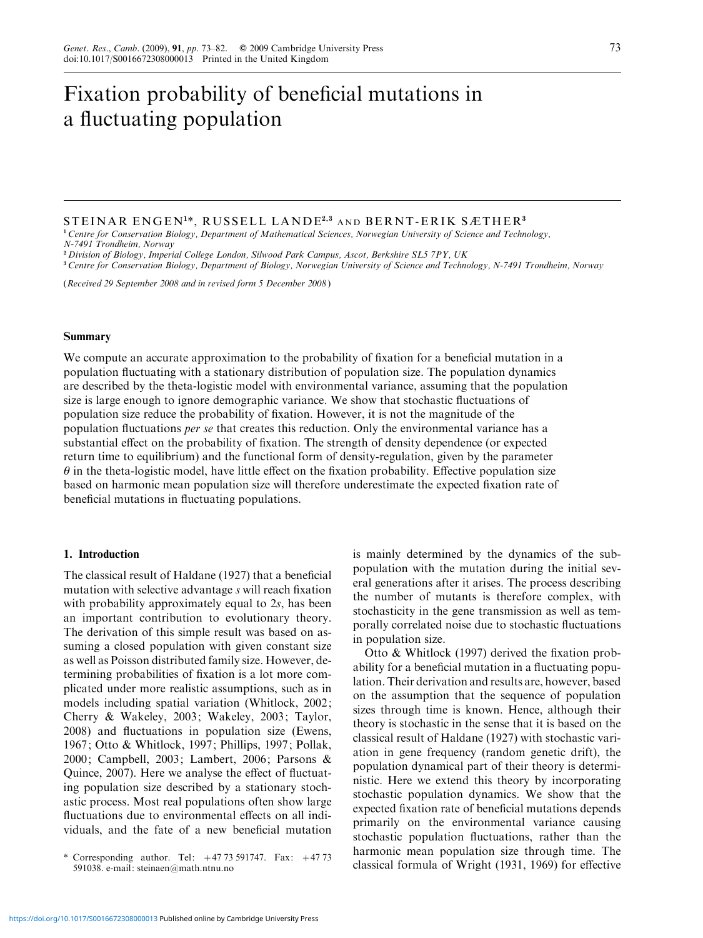# Fixation probability of beneficial mutations in a fluctuating population

## STEINAR ENGEN<sup>1</sup> \*, RUSSELL LANDE<sup>2</sup>,<sup>3</sup> AND BERNT-ERIK SÆTHER<sup>3</sup>

<sup>1</sup> Centre for Conservation Biology, Department of Mathematical Sciences, Norwegian University of Science and Technology, N-7491 Trondheim, Norway

<sup>2</sup> Division of Biology, Imperial College London, Silwood Park Campus, Ascot, Berkshire SL5 7PY, UK

<sup>3</sup> Centre for Conservation Biology, Department of Biology, Norwegian University of Science and Technology, N-7491 Trondheim, Norway

(Received 29 September 2008 and in revised form 5 December 2008)

## Summary

We compute an accurate approximation to the probability of fixation for a beneficial mutation in a population fluctuating with a stationary distribution of population size. The population dynamics are described by the theta-logistic model with environmental variance, assuming that the population size is large enough to ignore demographic variance. We show that stochastic fluctuations of population size reduce the probability of fixation. However, it is not the magnitude of the population fluctuations per se that creates this reduction. Only the environmental variance has a substantial effect on the probability of fixation. The strength of density dependence (or expected return time to equilibrium) and the functional form of density-regulation, given by the parameter  $\theta$  in the theta-logistic model, have little effect on the fixation probability. Effective population size based on harmonic mean population size will therefore underestimate the expected fixation rate of beneficial mutations in fluctuating populations.

### 1. Introduction

The classical result of Haldane (1927) that a beneficial mutation with selective advantage s will reach fixation with probability approximately equal to 2s, has been an important contribution to evolutionary theory. The derivation of this simple result was based on assuming a closed population with given constant size as well as Poisson distributed family size. However, determining probabilities of fixation is a lot more complicated under more realistic assumptions, such as in models including spatial variation (Whitlock, 2002; Cherry & Wakeley, 2003; Wakeley, 2003; Taylor, 2008) and fluctuations in population size (Ewens, 1967; Otto & Whitlock, 1997; Phillips, 1997; Pollak, 2000; Campbell, 2003; Lambert, 2006; Parsons & Quince, 2007). Here we analyse the effect of fluctuating population size described by a stationary stochastic process. Most real populations often show large fluctuations due to environmental effects on all individuals, and the fate of a new beneficial mutation is mainly determined by the dynamics of the subpopulation with the mutation during the initial several generations after it arises. The process describing the number of mutants is therefore complex, with stochasticity in the gene transmission as well as temporally correlated noise due to stochastic fluctuations in population size.

Otto & Whitlock (1997) derived the fixation probability for a beneficial mutation in a fluctuating population. Their derivation and results are, however, based on the assumption that the sequence of population sizes through time is known. Hence, although their theory is stochastic in the sense that it is based on the classical result of Haldane (1927) with stochastic variation in gene frequency (random genetic drift), the population dynamical part of their theory is deterministic. Here we extend this theory by incorporating stochastic population dynamics. We show that the expected fixation rate of beneficial mutations depends primarily on the environmental variance causing stochastic population fluctuations, rather than the harmonic mean population size through time. The corresponding author. Tel:  $+47.73$  591747. Fax:  $+47.73$  harmonic mean population size through three. The<br>S91038 e-mail: steinaen@math.ntnu.no

<sup>591038.</sup> e-mail: steinaen@math.ntnu.no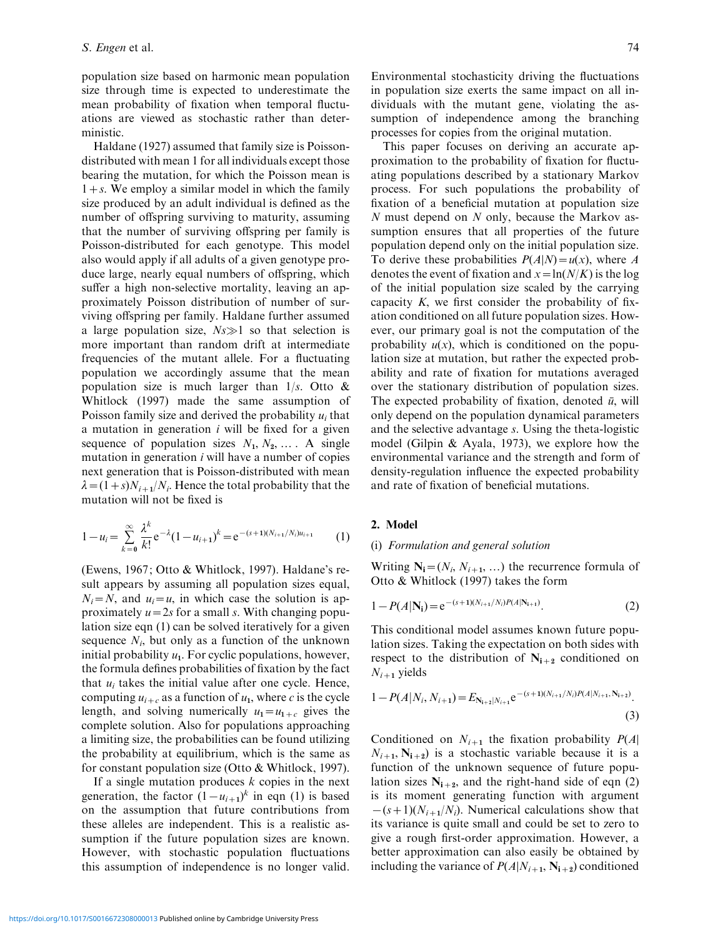population size based on harmonic mean population size through time is expected to underestimate the mean probability of fixation when temporal fluctuations are viewed as stochastic rather than deterministic.

Haldane (1927) assumed that family size is Poissondistributed with mean 1 for all individuals except those bearing the mutation, for which the Poisson mean is  $1+s$ . We employ a similar model in which the family size produced by an adult individual is defined as the number of offspring surviving to maturity, assuming that the number of surviving offspring per family is Poisson-distributed for each genotype. This model also would apply if all adults of a given genotype produce large, nearly equal numbers of offspring, which suffer a high non-selective mortality, leaving an approximately Poisson distribution of number of surviving offspring per family. Haldane further assumed a large population size,  $Ns \gg 1$  so that selection is more important than random drift at intermediate frequencies of the mutant allele. For a fluctuating population we accordingly assume that the mean population size is much larger than  $1/s$ . Otto & Whitlock (1997) made the same assumption of Poisson family size and derived the probability  $u_i$  that a mutation in generation  $i$  will be fixed for a given sequence of population sizes  $N_1, N_2, \ldots$ . A single mutation in generation  $i$  will have a number of copies next generation that is Poisson-distributed with mean  $\lambda = (1+s)N_{i+1}/N_i$ . Hence the total probability that the mutation will not be fixed is

$$
1 - u_i = \sum_{k=0}^{\infty} \frac{\lambda^k}{k!} e^{-\lambda} (1 - u_{i+1})^k = e^{-(s+1)(N_{i+1}/N_i)u_{i+1}}
$$
(1)

(Ewens, 1967; Otto & Whitlock, 1997). Haldane's result appears by assuming all population sizes equal,  $N_i = N$ , and  $u_i = u$ , in which case the solution is approximately  $u=2s$  for a small s. With changing population size eqn (1) can be solved iteratively for a given sequence  $N_i$ , but only as a function of the unknown initial probability  $u_1$ . For cyclic populations, however, the formula defines probabilities of fixation by the fact that  $u_i$  takes the initial value after one cycle. Hence, computing  $u_{i+c}$  as a function of  $u_1$ , where c is the cycle length, and solving numerically  $u_1 = u_{1+c}$  gives the complete solution. Also for populations approaching a limiting size, the probabilities can be found utilizing the probability at equilibrium, which is the same as for constant population size (Otto & Whitlock, 1997).

If a single mutation produces  $k$  copies in the next generation, the factor  $(1 - u_{i+1})^k$  in eqn (1) is based on the assumption that future contributions from these alleles are independent. This is a realistic assumption if the future population sizes are known. However, with stochastic population fluctuations this assumption of independence is no longer valid.

Environmental stochasticity driving the fluctuations in population size exerts the same impact on all individuals with the mutant gene, violating the assumption of independence among the branching processes for copies from the original mutation.

This paper focuses on deriving an accurate approximation to the probability of fixation for fluctuating populations described by a stationary Markov process. For such populations the probability of fixation of a beneficial mutation at population size  $N$  must depend on  $N$  only, because the Markov assumption ensures that all properties of the future population depend only on the initial population size. To derive these probabilities  $P(A|N)=u(x)$ , where A denotes the event of fixation and  $x = \ln(N/K)$  is the log of the initial population size scaled by the carrying capacity  $K$ , we first consider the probability of fixation conditioned on all future population sizes. However, our primary goal is not the computation of the probability  $u(x)$ , which is conditioned on the population size at mutation, but rather the expected probability and rate of fixation for mutations averaged over the stationary distribution of population sizes. The expected probability of fixation, denoted  $\bar{u}$ , will only depend on the population dynamical parameters and the selective advantage s. Using the theta-logistic model (Gilpin & Ayala, 1973), we explore how the environmental variance and the strength and form of density-regulation influence the expected probability and rate of fixation of beneficial mutations.

## 2. Model

## (i) Formulation and general solution

Writing  $N_i = (N_i, N_{i+1}, ...)$  the recurrence formula of Otto & Whitlock (1997) takes the form

$$
1 - P(A|\mathbf{N_i}) = e^{-(s+1)(N_{i+1}/N_i)P(A|\mathbf{N_{i+1}})}.
$$
\n(2)

This conditional model assumes known future population sizes. Taking the expectation on both sides with respect to the distribution of  $N_{i+2}$  conditioned on  $N_{i+1}$  yields

$$
1 - P(A|N_i, N_{i+1}) = E_{N_{i+2}|N_{i+1}} e^{-(s+1)(N_{i+1}/N_i)P(A|N_{i+1}, N_{i+2})}.
$$
\n(3)

Conditioned on  $N_{i+1}$  the fixation probability  $P(A)$  $N_{i+1}$ ,  $N_{i+2}$ ) is a stochastic variable because it is a function of the unknown sequence of future population sizes  $N_{i+2}$ , and the right-hand side of eqn (2) is its moment generating function with argument  $-(s+1)(N_{i+1}/N_i)$ . Numerical calculations show that its variance is quite small and could be set to zero to give a rough first-order approximation. However, a better approximation can also easily be obtained by including the variance of  $P(A|N_{i+1}, N_{i+2})$  conditioned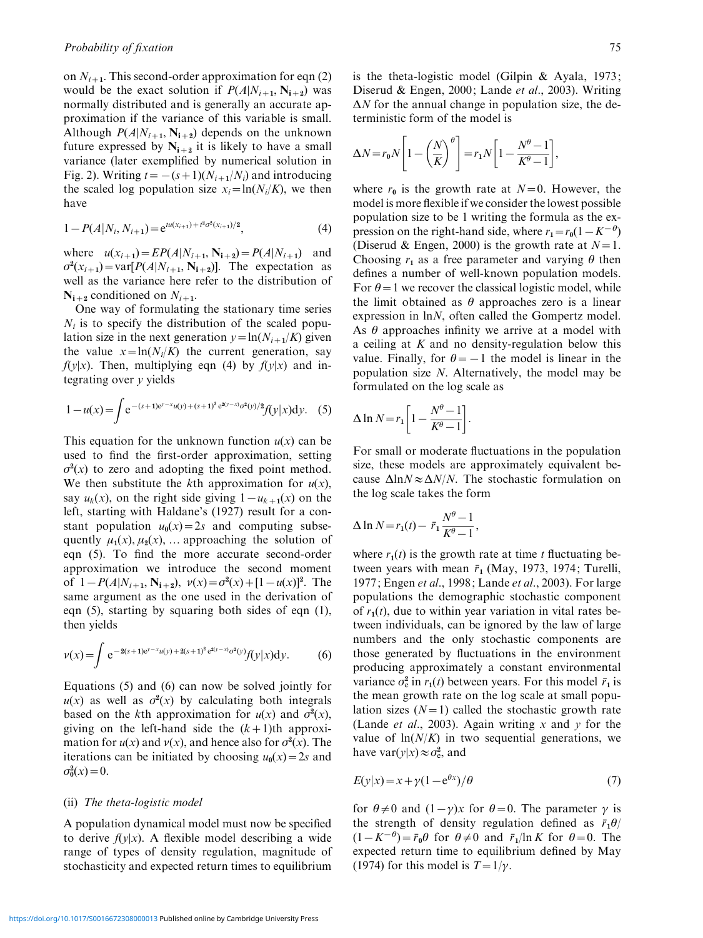on  $N_{i+1}$ . This second-order approximation for eqn (2) would be the exact solution if  $P(A|N_{i+1}, N_{i+2})$  was normally distributed and is generally an accurate approximation if the variance of this variable is small. Although  $P(A|N_{i+1}, N_{i+2})$  depends on the unknown future expressed by  $N_{i+2}$  it is likely to have a small variance (later exemplified by numerical solution in Fig. 2). Writing  $t = -(s+1)(N_{i+1}/N_i)$  and introducing the scaled log population size  $x_i=ln(N_i/K)$ , we then have

$$
1 - P(A|N_i, N_{i+1}) = e^{tu(x_{i+1}) + t^2 \sigma^2(x_{i+1})/2}, \tag{4}
$$

where  $u(x_{i+1}) = EP(A|N_{i+1}, N_{i+2}) = P(A|N_{i+1})$  and  $\sigma^2(x_{i+1}) = \text{var}[P(A|N_{i+1}, N_{i+2})]$ . The expectation as well as the variance here refer to the distribution of  $N_{i+2}$  conditioned on  $N_{i+1}$ .

One way of formulating the stationary time series  $N_i$  is to specify the distribution of the scaled population size in the next generation  $y = ln(N_{i+1}/K)$  given the value  $x = \ln(N_i/K)$  the current generation, say  $f(y|x)$ . Then, multiplying eqn (4) by  $f(y|x)$  and integrating over y yields

$$
1 - u(x) = \int e^{-(s+1)e^{y-x}u(y) + (s+1)^2 e^{2(y-x)} \sigma^2(y)/2} f(y|x) dy.
$$
 (5)

This equation for the unknown function  $u(x)$  can be used to find the first-order approximation, setting  $\sigma^2(x)$  to zero and adopting the fixed point method. We then substitute the kth approximation for  $u(x)$ , say  $u_k(x)$ , on the right side giving  $1-u_{k+1}(x)$  on the left, starting with Haldane's (1927) result for a constant population  $u_0(x) = 2s$  and computing subsequently  $\mu_1(x)$ ,  $\mu_2(x)$ , … approaching the solution of eqn (5). To find the more accurate second-order approximation we introduce the second moment of  $1 - P(A|N_{i+1}, N_{i+2}), \nu(x) = \sigma^2(x) + [1 - u(x)]^2$ . The same argument as the one used in the derivation of eqn (5), starting by squaring both sides of eqn (1), then yields

$$
\nu(x) = \int e^{-2(s+1)e^{\nu - x}u(y) + 2(s+1)^2 e^{2(\nu - x)}\sigma^2(y)} f(y|x) dy.
$$
 (6)

Equations (5) and (6) can now be solved jointly for  $u(x)$  as well as  $\sigma^2(x)$  by calculating both integrals based on the kth approximation for  $u(x)$  and  $\sigma^2(x)$ , giving on the left-hand side the  $(k+1)$ th approximation for  $u(x)$  and  $v(x)$ , and hence also for  $\sigma^2(x)$ . The iterations can be initiated by choosing  $u_0(x)=2s$  and  $\sigma_0^2(x) = 0.$ 

## (ii) The theta-logistic model

A population dynamical model must now be specified to derive  $f(y|x)$ . A flexible model describing a wide range of types of density regulation, magnitude of stochasticity and expected return times to equilibrium is the theta-logistic model (Gilpin & Ayala, 1973; Diserud & Engen, 2000; Lande et al., 2003). Writing  $\Delta N$  for the annual change in population size, the deterministic form of the model is

$$
\Delta N = r_0 N \left[ 1 - \left(\frac{N}{K}\right)^{\theta} \right] = r_1 N \left[ 1 - \frac{N^{\theta} - 1}{K^{\theta} - 1} \right],
$$

where  $r_0$  is the growth rate at  $N=0$ . However, the model is more flexible if we consider the lowest possible population size to be 1 writing the formula as the expression on the right-hand side, where  $r_1 = r_0(1 - K^{-\theta})$ (Diserud & Engen, 2000) is the growth rate at  $N=1$ . Choosing  $r_1$  as a free parameter and varying  $\theta$  then defines a number of well-known population models. For  $\theta$  = 1 we recover the classical logistic model, while the limit obtained as  $\theta$  approaches zero is a linear expression in lnN, often called the Gompertz model. As  $\theta$  approaches infinity we arrive at a model with a ceiling at  $K$  and no density-regulation below this value. Finally, for  $\theta = -1$  the model is linear in the population size N. Alternatively, the model may be formulated on the log scale as

$$
\Delta \ln N = r_1 \left[ 1 - \frac{N^{\theta} - 1}{K^{\theta} - 1} \right].
$$

For small or moderate fluctuations in the population size, these models are approximately equivalent because  $\Delta$ ln $N \approx \Delta N/N$ . The stochastic formulation on the log scale takes the form

$$
\Delta \ln N = r_1(t) - \bar{r}_1 \frac{N^{\theta} - 1}{K^{\theta} - 1},
$$

where  $r_1(t)$  is the growth rate at time t fluctuating between years with mean  $\bar{r}_1$  (May, 1973, 1974; Turelli, 1977; Engen et al., 1998; Lande et al., 2003). For large populations the demographic stochastic component of  $r_1(t)$ , due to within year variation in vital rates between individuals, can be ignored by the law of large numbers and the only stochastic components are those generated by fluctuations in the environment producing approximately a constant environmental variance  $\sigma_e^2$  in  $r_1(t)$  between years. For this model  $\bar{r}_1$  is the mean growth rate on the log scale at small population sizes  $(N=1)$  called the stochastic growth rate (Lande *et al.*, 2003). Again writing  $x$  and  $y$  for the value of  $ln(N/K)$  in two sequential generations, we have  $\text{var}(y|x) \approx \sigma_{\text{e}}^2$ , and

$$
E(y|x) = x + \gamma (1 - e^{\theta x})/\theta
$$
\n<sup>(7)</sup>

for  $\theta \neq 0$  and  $(1-\gamma)x$  for  $\theta=0$ . The parameter  $\gamma$  is the strength of density regulation defined as  $\bar{r}_1\theta$ /  $(1 - K^{-\theta}) = \bar{r}_0 \theta$  for  $\theta \neq 0$  and  $\bar{r}_1/\ln K$  for  $\theta = 0$ . The expected return time to equilibrium defined by May (1974) for this model is  $T=1/\gamma$ .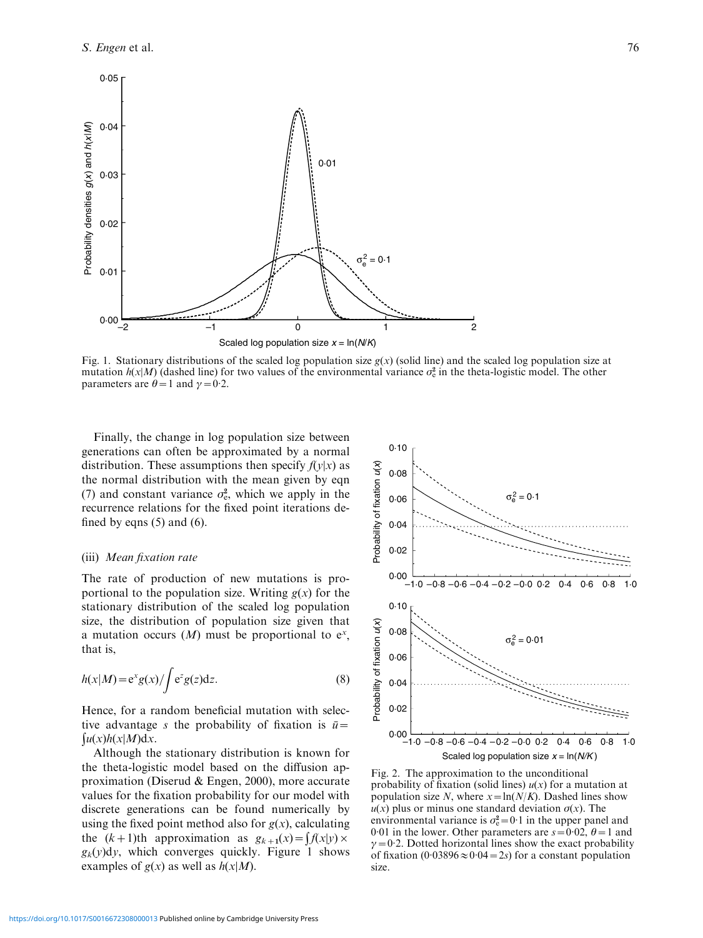

Fig. 1. Stationary distributions of the scaled log population size  $g(x)$  (solid line) and the scaled log population size at mutation  $h(x|M)$  (dashed line) for two values of the environmental variance  $\sigma_e^2$  in the theta-logistic model. The other parameters are  $\theta = 1$  and  $\gamma = 0.2$ .

Finally, the change in log population size between generations can often be approximated by a normal distribution. These assumptions then specify  $f(y|x)$  as the normal distribution with the mean given by eqn (7) and constant variance  $\sigma_{\rm e}^2$ , which we apply in the recurrence relations for the fixed point iterations defined by eqns  $(5)$  and  $(6)$ .

## (iii) Mean fixation rate

The rate of production of new mutations is proportional to the population size. Writing  $g(x)$  for the stationary distribution of the scaled log population size, the distribution of population size given that a mutation occurs  $(M)$  must be proportional to  $e^x$ , that is,

$$
h(x|M) = e^{x}g(x)/\int e^{z}g(z)dz.
$$
 (8)

Hence, for a random beneficial mutation with selective advantage s the probability of fixation is  $\bar{u}$  =  $\int u(x)h(x|M)dx$ .

Although the stationary distribution is known for the theta-logistic model based on the diffusion approximation (Diserud & Engen, 2000), more accurate values for the fixation probability for our model with discrete generations can be found numerically by using the fixed point method also for  $g(x)$ , calculating the  $(k+1)$ th approximation as  $g_{k+1}(x) = f(x|y)$  $g_k(y)dy$ , which converges quickly. Figure 1 shows examples of  $g(x)$  as well as  $h(x|M)$ .



Fig. 2. The approximation to the unconditional probability of fixation (solid lines)  $u(x)$  for a mutation at population size N, where  $x = \ln(N/K)$ . Dashed lines show  $u(x)$  plus or minus one standard deviation  $\sigma(x)$ . The environmental variance is  $\sigma_e^2 = 0.1$  in the upper panel and 0.01 in the lower. Other parameters are  $s = 0.02$ ,  $\theta = 1$  and  $\gamma = 0.2$ . Dotted horizontal lines show the exact probability of fixation  $(0.03896 \approx 0.04 = 2s)$  for a constant population size.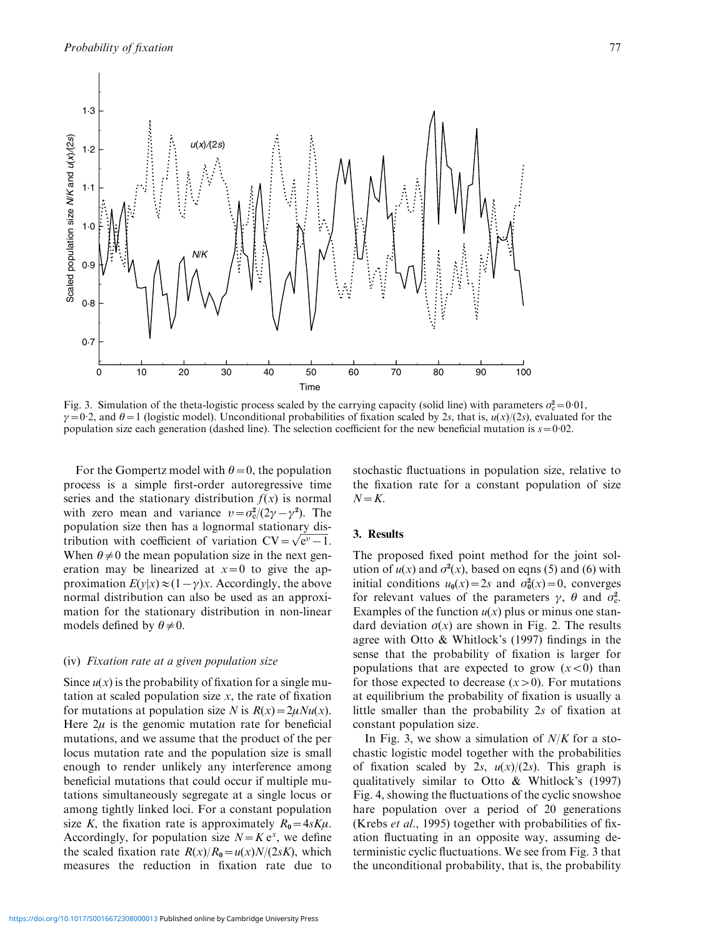

Fig. 3. Simulation of the theta-logistic process scaled by the carrying capacity (solid line) with parameters  $\sigma_e^2 = 0.01$ ,  $\gamma=0.2$ , and  $\theta=1$  (logistic model). Unconditional probabilities of fixation scaled by 2s, that is,  $u(x)/(2s)$ , evaluated for the population size each generation (dashed line). The selection coefficient for the new beneficial mutation is  $s = 0.02$ .

For the Gompertz model with  $\theta=0$ , the population process is a simple first-order autoregressive time series and the stationary distribution  $f(x)$  is normal with zero mean and variance  $v = \sigma_e^2/(2\gamma - \gamma^2)$ . The population size then has a lognormal stationary dispopulation size then has a lognormal stationary dis-<br>tribution with coefficient of variation  $CV = \sqrt{e^v - 1}$ . When  $\theta \neq 0$  the mean population size in the next generation may be linearized at  $x=0$  to give the approximation  $E(y|x) \approx (1-\gamma)x$ . Accordingly, the above normal distribution can also be used as an approximation for the stationary distribution in non-linear models defined by  $\theta \neq 0$ .

#### (iv) Fixation rate at a given population size

Since  $u(x)$  is the probability of fixation for a single mutation at scaled population size  $x$ , the rate of fixation for mutations at population size N is  $R(x) = 2\mu N u(x)$ . Here  $2\mu$  is the genomic mutation rate for beneficial mutations, and we assume that the product of the per locus mutation rate and the population size is small enough to render unlikely any interference among beneficial mutations that could occur if multiple mutations simultaneously segregate at a single locus or among tightly linked loci. For a constant population size K, the fixation rate is approximately  $R_0 = 4sK\mu$ . Accordingly, for population size  $N = K e^x$ , we define the scaled fixation rate  $R(x)/R_0=u(x)N/(2sK)$ , which measures the reduction in fixation rate due to stochastic fluctuations in population size, relative to the fixation rate for a constant population of size  $N=K$ .

## 3. Results

The proposed fixed point method for the joint solution of  $u(x)$  and  $\sigma^2(x)$ , based on eqns (5) and (6) with initial conditions  $u_0(x) = 2s$  and  $\sigma_0^2(x) = 0$ , converges for relevant values of the parameters  $\gamma$ ,  $\theta$  and  $\sigma_{\rm e}^2$ . Examples of the function  $u(x)$  plus or minus one standard deviation  $\sigma(x)$  are shown in Fig. 2. The results agree with Otto & Whitlock's (1997) findings in the sense that the probability of fixation is larger for populations that are expected to grow  $(x < 0)$  than for those expected to decrease  $(x>0)$ . For mutations at equilibrium the probability of fixation is usually a little smaller than the probability 2s of fixation at constant population size.

In Fig. 3, we show a simulation of  $N/K$  for a stochastic logistic model together with the probabilities of fixation scaled by 2s,  $u(x)/(2s)$ . This graph is qualitatively similar to Otto & Whitlock's (1997) Fig. 4, showing the fluctuations of the cyclic snowshoe hare population over a period of 20 generations (Krebs et al., 1995) together with probabilities of fixation fluctuating in an opposite way, assuming deterministic cyclic fluctuations. We see from Fig. 3 that the unconditional probability, that is, the probability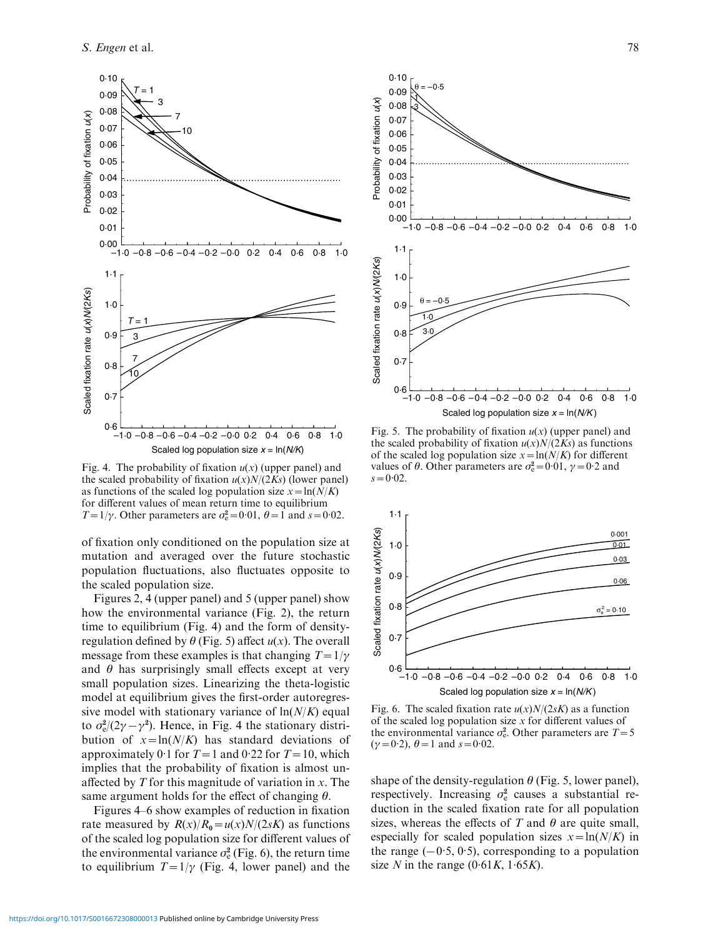

Fig. 4. The probability of fixation  $u(x)$  (upper panel) and the scaled probability of fixation  $u(x)N/(2Ks)$  (lower panel) as functions of the scaled log population size  $x = \ln(N/K)$ for different values of mean return time to equilibrium  $T=1/\gamma$ . Other parameters are  $\sigma_e^2=0.01$ ,  $\theta=1$  and  $s=0.02$ .

of fixation only conditioned on the population size at mutation and averaged over the future stochastic population fluctuations, also fluctuates opposite to the scaled population size.

Figures 2, 4 (upper panel) and 5 (upper panel) show how the environmental variance (Fig. 2), the return time to equilibrium (Fig. 4) and the form of densityregulation defined by  $\theta$  (Fig. 5) affect  $u(x)$ . The overall message from these examples is that changing  $T=1/\gamma$ and  $\theta$  has surprisingly small effects except at very small population sizes. Linearizing the theta-logistic model at equilibrium gives the first-order autoregressive model with stationary variance of  $ln(N/K)$  equal to  $\sigma_{\rm e}^2/(2\gamma - \gamma^2)$ . Hence, in Fig. 4 the stationary distribution of  $x = ln(N/K)$  has standard deviations of approximately 0.1 for  $T=1$  and 0.22 for  $T=10$ , which implies that the probability of fixation is almost unaffected by  $T$  for this magnitude of variation in  $x$ . The same argument holds for the effect of changing  $\theta$ .

Figures 4–6 show examples of reduction in fixation rate measured by  $R(x)/R_0 = u(x)N/(2sK)$  as functions of the scaled log population size for different values of the environmental variance  $\sigma_e^2$  (Fig. 6), the return time to equilibrium  $T=1/\gamma$  (Fig. 4, lower panel) and the



Fig. 5. The probability of fixation  $u(x)$  (upper panel) and the scaled probability of fixation  $u(x)N/(2Ks)$  as functions of the scaled log population size  $x = \ln(N/K)$  for different values of  $\theta$ . Other parameters are  $\sigma_e^2 = 0.01$ ,  $\gamma = 0.2$  and  $s = 0.02$ .



Fig. 6. The scaled fixation rate  $u(x)N/(2sK)$  as a function of the scaled log population size  $x$  for different values of the environmental variance  $\sigma_e^2$ . Other parameters are  $T=5$  $(\gamma = 0.2), \theta = 1$  and  $s = 0.02$ .

shape of the density-regulation  $\theta$  (Fig. 5, lower panel), respectively. Increasing  $\sigma_e^2$  causes a substantial reduction in the scaled fixation rate for all population sizes, whereas the effects of T and  $\theta$  are quite small, especially for scaled population sizes  $x = \ln(N/K)$  in the range  $(-0.5, 0.5)$ , corresponding to a population size N in the range  $(0.61K, 1.65K)$ .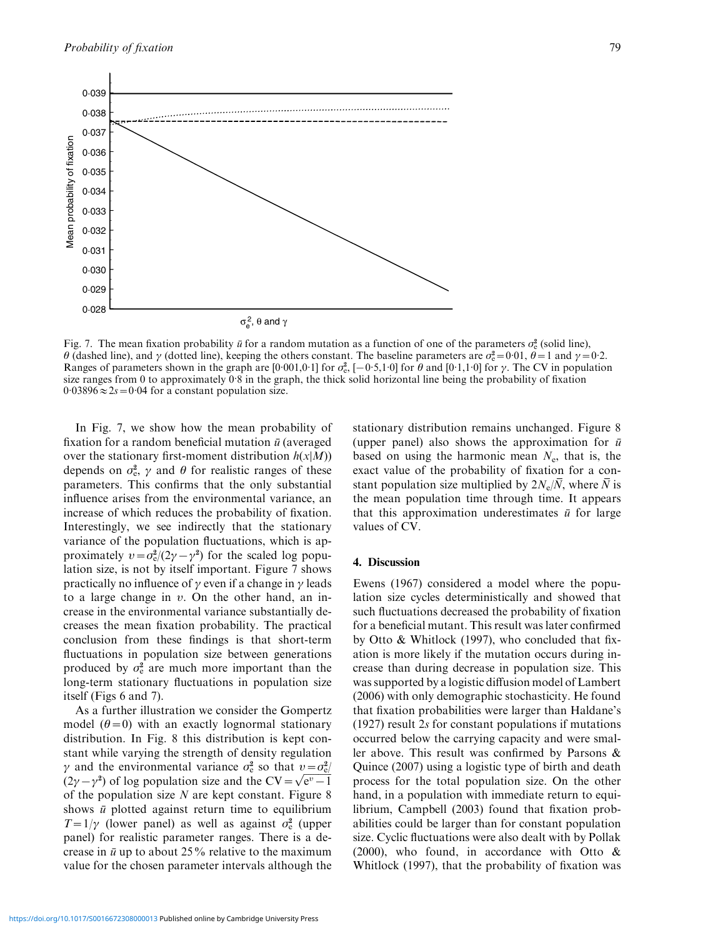

Fig. 7. The mean fixation probability  $\bar{u}$  for a random mutation as a function of one of the parameters  $\sigma_e^2$  (solid line),  $\theta$  (dashed line), and  $\gamma$  (dotted line), keeping the others constant. The baseline parameters are  $\sigma_e^2 = 0.01$ ,  $\theta = 1$  and  $\gamma = 0.2$ . Ranges of parameters shown in the graph are [0.001,0.1] for  $\sigma_e^2$ , [-0.5,1.0] for  $\theta$  and [0.1,1.0] for  $\gamma$ . The CV in population size ranges from 0 to approximately 0.8 in the graph, the thick solid horizontal line being the probability of fixation  $0.03896 \approx 2s = 0.04$  for a constant population size.

In Fig. 7, we show how the mean probability of fixation for a random beneficial mutation  $\bar{u}$  (averaged over the stationary first-moment distribution  $h(x|M)$ ) depends on  $\sigma_{\rm e}^2$ ,  $\gamma$  and  $\theta$  for realistic ranges of these parameters. This confirms that the only substantial influence arises from the environmental variance, an increase of which reduces the probability of fixation. Interestingly, we see indirectly that the stationary variance of the population fluctuations, which is approximately  $v = \sigma_e^2/(2\gamma - \gamma^2)$  for the scaled log population size, is not by itself important. Figure 7 shows practically no influence of  $\gamma$  even if a change in  $\gamma$  leads to a large change in  $v$ . On the other hand, an increase in the environmental variance substantially decreases the mean fixation probability. The practical conclusion from these findings is that short-term fluctuations in population size between generations produced by  $\sigma_e^2$  are much more important than the long-term stationary fluctuations in population size itself (Figs 6 and 7).

As a further illustration we consider the Gompertz model  $(\theta=0)$  with an exactly lognormal stationary distribution. In Fig. 8 this distribution is kept constant while varying the strength of density regulation  $\gamma$  and the environmental variance  $\sigma_{\rm e}^2$  so that  $v = \sigma_{\rm e}^2$  $\gamma$  and the environmental variance  $\sigma_{\rm c}$  so that  $v = \sigma_{\rm c}$ <br>(2 $\gamma - \gamma^2$ ) of log population size and the CV =  $\sqrt{\rm e^v - 1}$ of the population size  $N$  are kept constant. Figure 8 shows  $\bar{u}$  plotted against return time to equilibrium  $T=1/\gamma$  (lower panel) as well as against  $\sigma_e^2$  (upper panel) for realistic parameter ranges. There is a decrease in  $\bar{u}$  up to about 25% relative to the maximum value for the chosen parameter intervals although the stationary distribution remains unchanged. Figure 8 (upper panel) also shows the approximation for  $\bar{u}$ based on using the harmonic mean  $N_e$ , that is, the exact value of the probability of fixation for a constant population size multiplied by  $2N_e/\overline{N}$ , where  $\overline{N}$  is the mean population time through time. It appears that this approximation underestimates  $\bar{u}$  for large values of CV.

#### 4. Discussion

Ewens (1967) considered a model where the population size cycles deterministically and showed that such fluctuations decreased the probability of fixation for a beneficial mutant. This result was later confirmed by Otto & Whitlock (1997), who concluded that fixation is more likely if the mutation occurs during increase than during decrease in population size. This was supported by a logistic diffusion model of Lambert (2006) with only demographic stochasticity. He found that fixation probabilities were larger than Haldane's (1927) result 2s for constant populations if mutations occurred below the carrying capacity and were smaller above. This result was confirmed by Parsons & Quince (2007) using a logistic type of birth and death process for the total population size. On the other hand, in a population with immediate return to equilibrium, Campbell (2003) found that fixation probabilities could be larger than for constant population size. Cyclic fluctuations were also dealt with by Pollak (2000), who found, in accordance with Otto & Whitlock (1997), that the probability of fixation was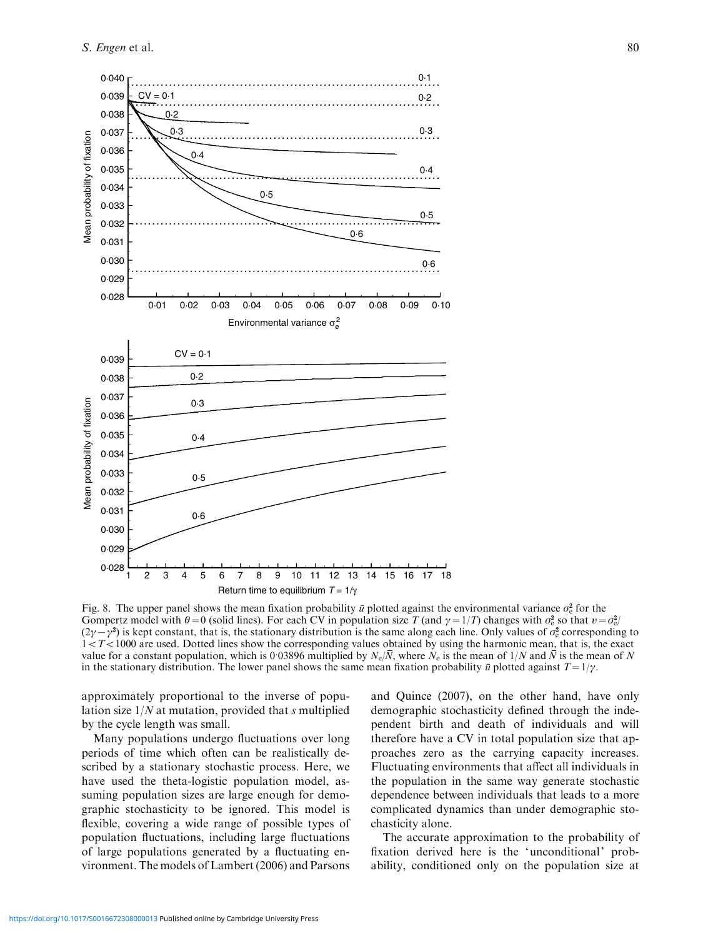

Fig. 8. The upper panel shows the mean fixation probability  $\bar{u}$  plotted against the environmental variance  $\sigma_e^2$  for the Gompertz model with  $\theta = 0$  (solid lines). For each CV in population size T (and  $\gamma = 1/T$ ) changes with  $\sigma_e^2$  so that  $v = \sigma_e^2$  $(2\gamma - \gamma^2)$  is kept constant, that is, the stationary distribution is the same along each line. Only values of  $\sigma_e^2$  corresponding to  $1 < T < 1000$  are used. Dotted lines show the corresponding values obtained by using the harmonic mean, that is, the exact value for a constant population, which is 0.03896 multiplied by  $N_e/\overline{N}$ , where  $N_e$  is the mean of  $1/N$  and  $\overline{N}$  is the mean of N in the stationary distribution. The lower panel shows the same mean fixation probability  $\bar{u}$  plotted against  $T=1/\gamma$ .

approximately proportional to the inverse of population size  $1/N$  at mutation, provided that s multiplied by the cycle length was small.

Many populations undergo fluctuations over long periods of time which often can be realistically described by a stationary stochastic process. Here, we have used the theta-logistic population model, assuming population sizes are large enough for demographic stochasticity to be ignored. This model is flexible, covering a wide range of possible types of population fluctuations, including large fluctuations of large populations generated by a fluctuating environment. The models of Lambert (2006) and Parsons

and Quince (2007), on the other hand, have only demographic stochasticity defined through the independent birth and death of individuals and will therefore have a CV in total population size that approaches zero as the carrying capacity increases. Fluctuating environments that affect all individuals in the population in the same way generate stochastic dependence between individuals that leads to a more complicated dynamics than under demographic stochasticity alone.

The accurate approximation to the probability of fixation derived here is the 'unconditional' probability, conditioned only on the population size at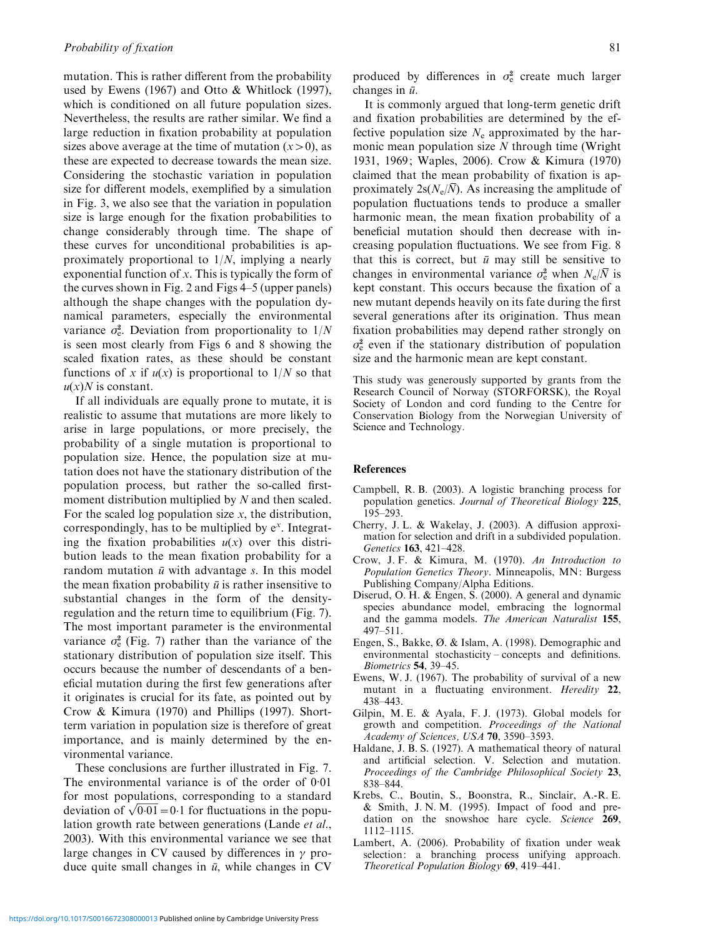mutation. This is rather different from the probability used by Ewens (1967) and Otto & Whitlock (1997), which is conditioned on all future population sizes. Nevertheless, the results are rather similar. We find a large reduction in fixation probability at population sizes above average at the time of mutation  $(x>0)$ , as these are expected to decrease towards the mean size. Considering the stochastic variation in population size for different models, exemplified by a simulation in Fig. 3, we also see that the variation in population size is large enough for the fixation probabilities to change considerably through time. The shape of these curves for unconditional probabilities is approximately proportional to  $1/N$ , implying a nearly exponential function of x. This is typically the form of the curves shown in Fig. 2 and Figs 4–5 (upper panels) although the shape changes with the population dynamical parameters, especially the environmental variance  $\sigma_e^2$ . Deviation from proportionality to  $1/N$ is seen most clearly from Figs 6 and 8 showing the scaled fixation rates, as these should be constant functions of x if  $u(x)$  is proportional to  $1/N$  so that  $u(x)$ *N* is constant.

If all individuals are equally prone to mutate, it is realistic to assume that mutations are more likely to arise in large populations, or more precisely, the probability of a single mutation is proportional to population size. Hence, the population size at mutation does not have the stationary distribution of the population process, but rather the so-called firstmoment distribution multiplied by N and then scaled. For the scaled log population size  $x$ , the distribution, correspondingly, has to be multiplied by  $e^x$ . Integrating the fixation probabilities  $u(x)$  over this distribution leads to the mean fixation probability for a random mutation  $\bar{u}$  with advantage s. In this model the mean fixation probability  $\bar{u}$  is rather insensitive to substantial changes in the form of the densityregulation and the return time to equilibrium (Fig. 7). The most important parameter is the environmental variance  $\sigma_e^2$  (Fig. 7) rather than the variance of the stationary distribution of population size itself. This occurs because the number of descendants of a beneficial mutation during the first few generations after it originates is crucial for its fate, as pointed out by Crow & Kimura (1970) and Phillips (1997). Shortterm variation in population size is therefore of great importance, and is mainly determined by the environmental variance.

These conclusions are further illustrated in Fig. 7. The environmental variance is of the order of  $0.01$ for most populations, corresponding to a standard for most populations, corresponding to a standard<br>deviation of  $\sqrt{0.01}$  = 0.1 for fluctuations in the population growth rate between generations (Lande et al., 2003). With this environmental variance we see that large changes in CV caused by differences in  $\gamma$  produce quite small changes in  $\bar{u}$ , while changes in CV

produced by differences in  $\sigma_e^2$  create much larger changes in  $\bar{u}$ .

It is commonly argued that long-term genetic drift and fixation probabilities are determined by the effective population size  $N_e$  approximated by the harmonic mean population size  $N$  through time (Wright 1931, 1969; Waples, 2006). Crow & Kimura (1970) claimed that the mean probability of fixation is approximately  $2s(N_e/\overline{N})$ . As increasing the amplitude of population fluctuations tends to produce a smaller harmonic mean, the mean fixation probability of a beneficial mutation should then decrease with increasing population fluctuations. We see from Fig. 8 that this is correct, but  $\bar{u}$  may still be sensitive to changes in environmental variance  $\sigma_{\rm e}^2$  when  $N_{\rm e}/\bar{N}$  is kept constant. This occurs because the fixation of a new mutant depends heavily on its fate during the first several generations after its origination. Thus mean fixation probabilities may depend rather strongly on  $\sigma_{\rm e}^2$  even if the stationary distribution of population size and the harmonic mean are kept constant.

This study was generously supported by grants from the Research Council of Norway (STORFORSK), the Royal Society of London and cord funding to the Centre for Conservation Biology from the Norwegian University of Science and Technology.

#### **References**

- Campbell, R. B. (2003). A logistic branching process for population genetics. Journal of Theoretical Biology 225, 195–293.
- Cherry, J. L. & Wakelay, J. (2003). A diffusion approximation for selection and drift in a subdivided population. Genetics 163, 421–428.
- Crow, J. F. & Kimura, M. (1970). An Introduction to Population Genetics Theory. Minneapolis, MN: Burgess Publishing Company/Alpha Editions.
- Diserud, O. H. & Engen, S. (2000). A general and dynamic species abundance model, embracing the lognormal and the gamma models. The American Naturalist 155, 497–511.
- Engen, S., Bakke, Ø. & Islam, A. (1998). Demographic and environmental stochasticity – concepts and definitions. Biometrics 54, 39–45.
- Ewens, W. J. (1967). The probability of survival of a new mutant in a fluctuating environment. Heredity 22, 438–443.
- Gilpin, M. E. & Ayala, F. J. (1973). Global models for growth and competition. Proceedings of the National Academy of Sciences, USA 70, 3590–3593.
- Haldane, J. B. S. (1927). A mathematical theory of natural and artificial selection. V. Selection and mutation. Proceedings of the Cambridge Philosophical Society 23, 838–844.
- Krebs, C., Boutin, S., Boonstra, R., Sinclair, A.-R. E. & Smith, J. N. M. (1995). Impact of food and predation on the snowshoe hare cycle. Science 269, 1112–1115.
- Lambert, A. (2006). Probability of fixation under weak selection: a branching process unifying approach. Theoretical Population Biology 69, 419–441.